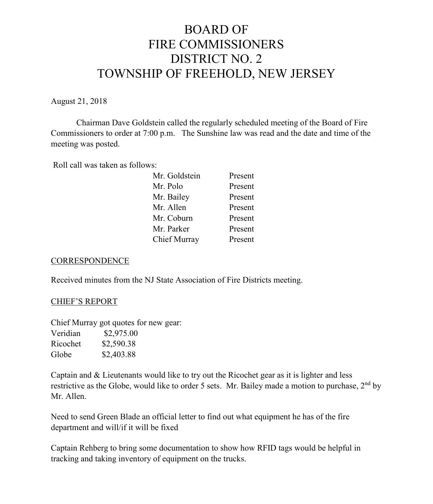# BOARD OF FIRE COMMISSIONERS DISTRICT NO. 2 TOWNSHIP OF FREEHOLD, NEW JERSEY

August 21, 2018

Chairman Dave Goldstein called the regularly scheduled meeting of the Board of Fire Commissioners to order at 7:00 p.m. The Sunshine law was read and the date and time of the meeting was posted.

Roll call was taken as follows:

| Mr. Goldstein | Present |
|---------------|---------|
| Mr. Polo      | Present |
| Mr. Bailey    | Present |
| Mr. Allen     | Present |
| Mr. Coburn    | Present |
| Mr. Parker    | Present |
| Chief Murray  | Present |
|               |         |

### **CORRESPONDENCE**

Received minutes from the NJ State Association of Fire Districts meeting.

### CHIEF'S REPORT

Chief Murray got quotes for new gear: Veridian \$2,975.00 Ricochet \$2,590.38 Globe \$2,403.88

Captain and & Lieutenants would like to try out the Ricochet gear as it is lighter and less restrictive as the Globe, would like to order 5 sets. Mr. Bailey made a motion to purchase, 2<sup>nd</sup> by Mr. Allen.

Need to send Green Blade an official letter to find out what equipment he has of the fire department and will/if it will be fixed

Captain Rehberg to bring some documentation to show how RFID tags would be helpful in tracking and taking inventory of equipment on the trucks.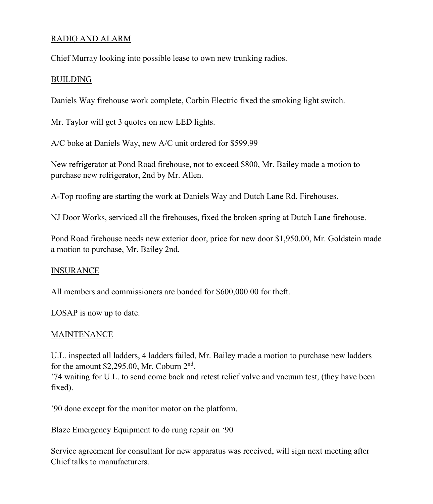## RADIO AND ALARM

Chief Murray looking into possible lease to own new trunking radios.

### BUILDING

Daniels Way firehouse work complete, Corbin Electric fixed the smoking light switch.

Mr. Taylor will get 3 quotes on new LED lights.

A/C boke at Daniels Way, new A/C unit ordered for \$599.99

New refrigerator at Pond Road firehouse, not to exceed \$800, Mr. Bailey made a motion to purchase new refrigerator, 2nd by Mr. Allen.

A-Top roofing are starting the work at Daniels Way and Dutch Lane Rd. Firehouses.

NJ Door Works, serviced all the firehouses, fixed the broken spring at Dutch Lane firehouse.

Pond Road firehouse needs new exterior door, price for new door \$1,950.00, Mr. Goldstein made a motion to purchase, Mr. Bailey 2nd.

### INSURANCE

All members and commissioners are bonded for \$600,000.00 for theft.

LOSAP is now up to date.

### MAINTENANCE

U.L. inspected all ladders, 4 ladders failed, Mr. Bailey made a motion to purchase new ladders for the amount \$2,295.00, Mr. Coburn 2nd.

'74 waiting for U.L. to send come back and retest relief valve and vacuum test, (they have been fixed).

'90 done except for the monitor motor on the platform.

Blaze Emergency Equipment to do rung repair on '90

Service agreement for consultant for new apparatus was received, will sign next meeting after Chief talks to manufacturers.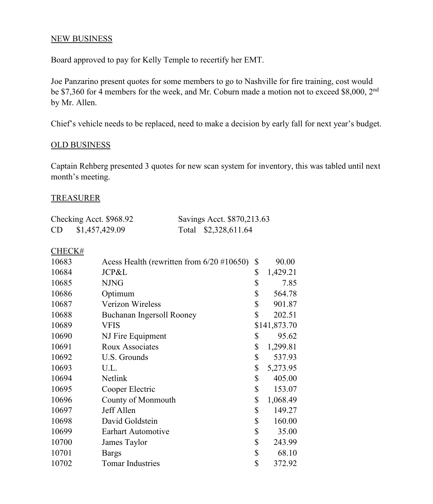## NEW BUSINESS

Board approved to pay for Kelly Temple to recertify her EMT.

Joe Panzarino present quotes for some members to go to Nashville for fire training, cost would be \$7,360 for 4 members for the week, and Mr. Coburn made a motion not to exceed \$8,000, 2<sup>nd</sup> by Mr. Allen.

Chief's vehicle needs to be replaced, need to make a decision by early fall for next year's budget.

#### OLD BUSINESS

Captain Rehberg presented 3 quotes for new scan system for inventory, this was tabled until next month's meeting.

#### TREASURER

|           | Checking Acct. \$968.92 | Savings Acct. \$870,213.63 |
|-----------|-------------------------|----------------------------|
| <b>CD</b> | \$1,457,429.09          | Total \$2,328,611.64       |

#### CHECK#

| 10683 | Acess Health (rewritten from $6/20$ #10650) | \$<br>90.00    |
|-------|---------------------------------------------|----------------|
| 10684 | JCP&L                                       | \$<br>1,429.21 |
| 10685 | <b>NJNG</b>                                 | \$<br>7.85     |
| 10686 | Optimum                                     | \$<br>564.78   |
| 10687 | <b>Verizon Wireless</b>                     | \$<br>901.87   |
| 10688 | Buchanan Ingersoll Rooney                   | \$<br>202.51   |
| 10689 | VFIS                                        | \$141,873.70   |
| 10690 | NJ Fire Equipment                           | \$<br>95.62    |
| 10691 | <b>Roux Associates</b>                      | \$<br>1,299.81 |
| 10692 | U.S. Grounds                                | \$<br>537.93   |
| 10693 | U.L.                                        | \$<br>5,273.95 |
| 10694 | Netlink                                     | \$<br>405.00   |
| 10695 | Cooper Electric                             | \$<br>153.07   |
| 10696 | County of Monmouth                          | \$<br>1,068.49 |
| 10697 | Jeff Allen                                  | \$<br>149.27   |
| 10698 | David Goldstein                             | \$<br>160.00   |
| 10699 | Earhart Automotive                          | \$<br>35.00    |
| 10700 | James Taylor                                | \$<br>243.99   |
| 10701 | Bargs                                       | \$<br>68.10    |
| 10702 | <b>Tomar Industries</b>                     | \$<br>372.92   |